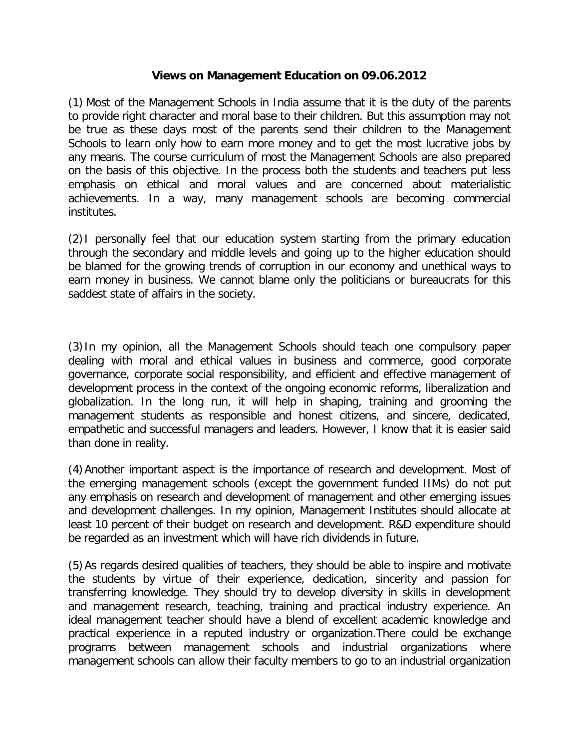## **Views on Management Education on 09.06.2012**

(1) Most of the Management Schools in India assume that it is the duty of the parents to provide right character and moral base to their children. But this assumption may not be true as these days most of the parents send their children to the Management Schools to learn only how to earn more money and to get the most lucrative jobs by any means. The course curriculum of most the Management Schools are also prepared on the basis of this objective. In the process both the students and teachers put less emphasis on ethical and moral values and are concerned about materialistic achievements. In a way, many management schools are becoming commercial institutes.

(2)I personally feel that our education system starting from the primary education through the secondary and middle levels and going up to the higher education should be blamed for the growing trends of corruption in our economy and unethical ways to earn money in business. We cannot blame only the politicians or bureaucrats for this saddest state of affairs in the society.

(3)In my opinion, all the Management Schools should teach one compulsory paper dealing with moral and ethical values in business and commerce, good corporate governance, corporate social responsibility, and efficient and effective management of development process in the context of the ongoing economic reforms, liberalization and globalization. In the long run, it will help in shaping, training and grooming the management students as responsible and honest citizens, and sincere, dedicated, empathetic and successful managers and leaders. However, I know that it is easier said than done in reality.

(4)Another important aspect is the importance of research and development. Most of the emerging management schools (except the government funded IIMs) do not put any emphasis on research and development of management and other emerging issues and development challenges. In my opinion, Management Institutes should allocate at least 10 percent of their budget on research and development. R&D expenditure should be regarded as an investment which will have rich dividends in future.

(5)As regards desired qualities of teachers, they should be able to inspire and motivate the students by virtue of their experience, dedication, sincerity and passion for transferring knowledge. They should try to develop diversity in skills in development and management research, teaching, training and practical industry experience. An ideal management teacher should have a blend of excellent academic knowledge and practical experience in a reputed industry or organization.There could be exchange programs between management schools and industrial organizations where management schools can allow their faculty members to go to an industrial organization